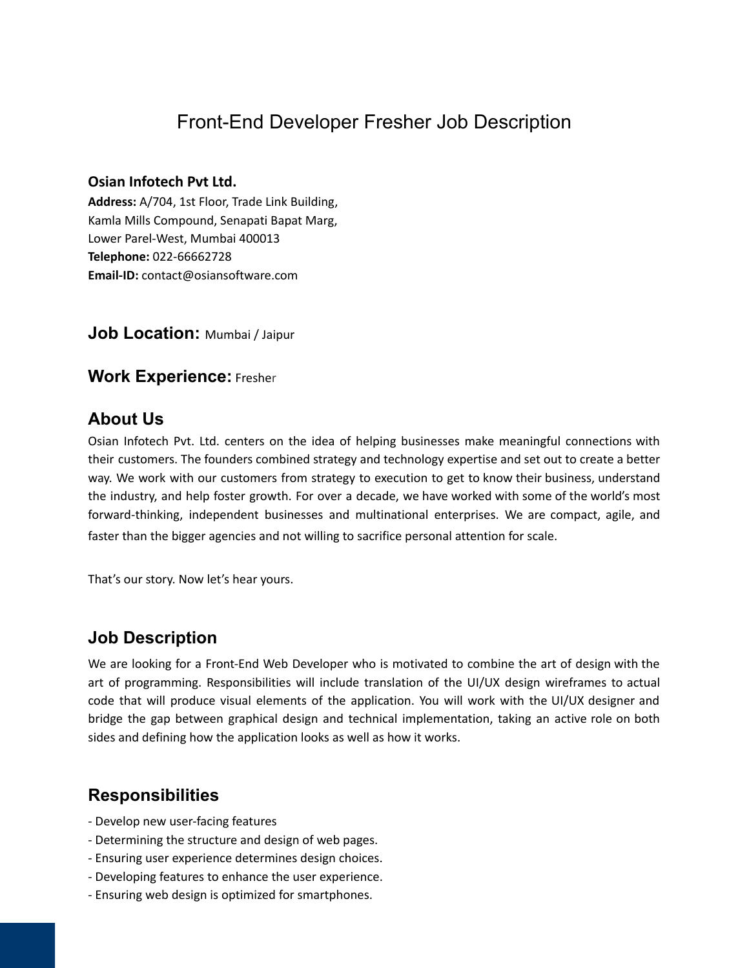# Front-End Developer Fresher Job Description

#### **Osian Infotech Pvt Ltd.**

**Address:** A/704, 1st Floor, Trade Link Building, Kamla Mills Compound, Senapati Bapat Marg, Lower Parel-West, Mumbai 400013 **Telephone:** 022-66662728 **Email-ID:** contact@osiansoftware.com

#### **Job Location:** Mumbai / Jaipur

#### **Work Experience:** Fresher

### **About Us**

Osian Infotech Pvt. Ltd. centers on the idea of helping businesses make meaningful connections with their customers. The founders combined strategy and technology expertise and set out to create a better way. We work with our customers from strategy to execution to get to know their business, understand the industry, and help foster growth. For over a decade, we have worked with some of the world's most forward-thinking, independent businesses and multinational enterprises. We are compact, agile, and faster than the bigger agencies and not willing to sacrifice personal attention for scale.

That's our story. Now let's hear yours.

### **Job Description**

We are looking for a Front-End Web Developer who is motivated to combine the art of design with the art of programming. Responsibilities will include translation of the UI/UX design wireframes to actual code that will produce visual elements of the application. You will work with the UI/UX designer and bridge the gap between graphical design and technical implementation, taking an active role on both sides and defining how the application looks as well as how it works.

## **Responsibilities**

- Develop new user-facing features
- Determining the structure and design of web pages.
- Ensuring user experience determines design choices.
- Developing features to enhance the user experience.
- Ensuring web design is optimized for smartphones.